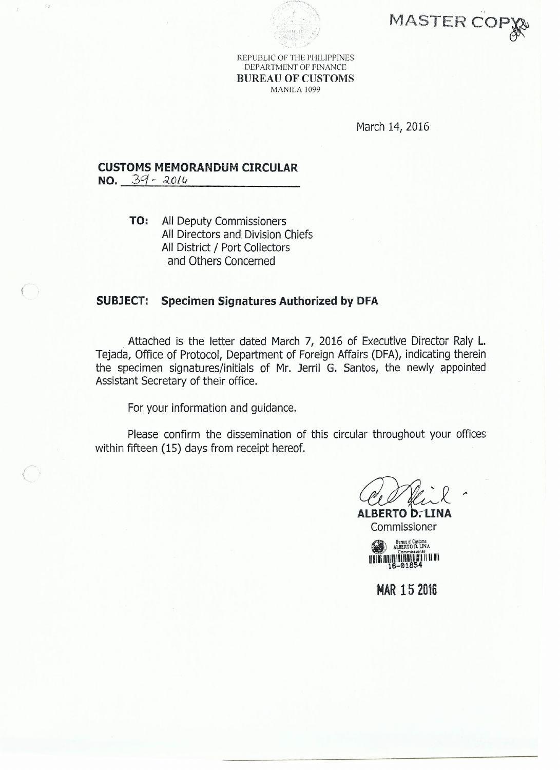



REPUBLIC OF THE PHILIPPINES DEPARTMENT OF FINANCE BUREAU OF CUSTOMS MANILA 1099

March 14, 2016

## **CUSTOMS MEMORANDUM CIRCULAR**

**NO.**  $39 - 2014$ 

 $($ 

**TO:** All Deputy Commissioners All Directors and Division Chiefs All District / Port Collectors and Others Concerned

## **SUBJECT: Specimen Signatures Authorized by DFA**

Attached is the letter dated March 7, 2016 of Executive Director Raly L. Tejada, Office of Protocol, Department of Foreign Affairs (DFA), indicating therein the specimen signatures/initials of Mr. Jerri! G. Santos, the newly appointed Assistant Secretary of their office.

For your information and guidance.

Please confirm the dissemination of this circular throughout your offices within fifteen (15) days from receipt hereof.

*-..r'-/L"'* .<br>J *--* ~ **ALBERTO D. LINA** 

Commissioner Bureau of Custom<sub>3</sub><br>ALBERTO D. UNA . Commlttlontr 1IIIIi1IIIIIIIIIIIIIIDllllllili 16-01854

**MAR 152016**